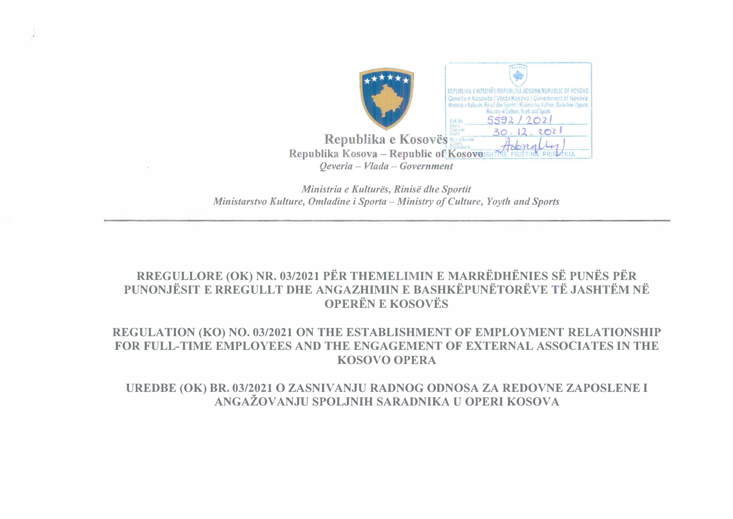

*Ministria e Kultures, Rinise dhe Sportit Ministarstvo Kulture, Omladine i Sporta - Ministry of Culture, Yoyth and Sports* 

## **RREGULLORE (OK) NR. 03/2021 PER THEMELIMIN E MARREDHENIES SE PUNES PER PUNONJESIT E RREGULLT DHE ANGAZHIMIN E BASHKEPUNETOREVE TE JASHTEM NE OPEREN E KOSOVES**

## **REGULATION (KO) NO. 03/2021 ON THE ESTABLISHMENT OF EMPLOYMENT RELATIONSHIP FOR FULL-TIME EMPLOYEES AND THE ENGAGEMENT OF EXTERNAL ASSOCIATES IN THE KOSOVO OPERA**

UREDBE (OK) BR. 03/2021 O ZASNIVANJU RADNOG ODNOSA ZA REDOVNE ZAPOSLENE I ANGAŽOVANJU SPOLJNIH SARADNIKA U OPERI KOSOVA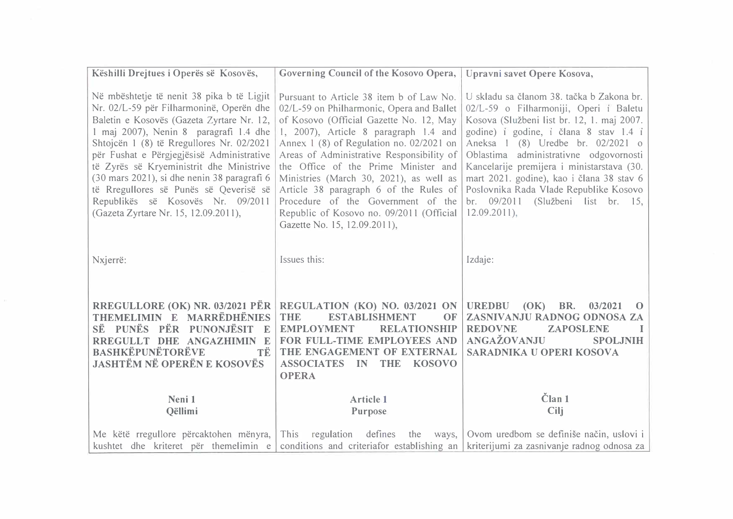| Këshilli Drejtues i Operës së Kosovës,                                                                                                                                                                                                                                                                                                                                                                                                                                                    | Governing Council of the Kosovo Opera,                                                                                                                                                                                                                                                                                                                                                                                                                                                                            | Upravni savet Opere Kosova,                                                                                                                                                                                                                                                                                                                                                                                                                             |
|-------------------------------------------------------------------------------------------------------------------------------------------------------------------------------------------------------------------------------------------------------------------------------------------------------------------------------------------------------------------------------------------------------------------------------------------------------------------------------------------|-------------------------------------------------------------------------------------------------------------------------------------------------------------------------------------------------------------------------------------------------------------------------------------------------------------------------------------------------------------------------------------------------------------------------------------------------------------------------------------------------------------------|---------------------------------------------------------------------------------------------------------------------------------------------------------------------------------------------------------------------------------------------------------------------------------------------------------------------------------------------------------------------------------------------------------------------------------------------------------|
| Në mbështetje të nenit 38 pika b të Ligjit<br>Nr. 02/L-59 për Filharmoninë, Operën dhe<br>Baletin e Kosovës (Gazeta Zyrtare Nr. 12,<br>1 maj 2007), Nenin 8 paragrafi 1.4 dhe<br>Shtojcën 1 (8) të Rregullores Nr. 02/2021<br>për Fushat e Përgjegjësisë Administrative<br>të Zyrës së Kryeministrit dhe Ministrive<br>(30 mars 2021), si dhe nenin 38 paragrafi 6<br>të Rregullores së Punës së Qeverisë së<br>Republikës së Kosovës Nr. 09/2011<br>(Gazeta Zyrtare Nr. 15, 12.09.2011), | Pursuant to Article 38 item b of Law No.<br>02/L-59 on Philharmonic, Opera and Ballet<br>of Kosovo (Official Gazette No. 12, May<br>1, 2007), Article 8 paragraph 1.4 and<br>Annex 1 (8) of Regulation no. 02/2021 on<br>Areas of Administrative Responsibility of<br>the Office of the Prime Minister and<br>Ministries (March 30, 2021), as well as<br>Article 38 paragraph 6 of the Rules of<br>Procedure of the Government of the<br>Republic of Kosovo no. 09/2011 (Official<br>Gazette No. 15, 12.09.2011), | U skladu sa članom 38. tačka b Zakona br.<br>02/L-59 o Filharmoniji, Operi i Baletu<br>Kosova (Službeni list br. 12, 1. maj 2007.<br>godine) i godine, i člana 8 stav 1.4 i<br>Aneksa 1 (8) Uredbe br. 02/2021 o<br>Oblastima administrativne odgovornosti<br>Kancelarije premijera i ministarstava (30.<br>mart 2021. godine), kao i člana 38 stav 6<br>Poslovnika Rada Vlade Republike Kosovo<br>br. 09/2011 (Službeni list br. 15,<br>$12.09.2011$ , |
| Nxjerrë:                                                                                                                                                                                                                                                                                                                                                                                                                                                                                  | Issues this:                                                                                                                                                                                                                                                                                                                                                                                                                                                                                                      | Izdaje:                                                                                                                                                                                                                                                                                                                                                                                                                                                 |
| RREGULLORE (OK) NR. 03/2021 PËR<br>THEMELIMIN E MARRËDHËNIES<br>SË PUNËS PËR PUNONJËSIT<br>$\mathbb{F}$<br>RREGULLT DHE ANGAZHIMIN E<br><b>BASHKËPUNËTORËVE</b><br>ТË<br><b>JASHTËM NË OPERËN E KOSOVËS</b>                                                                                                                                                                                                                                                                               | REGULATION (KO) NO. 03/2021 ON<br><b>THE</b><br><b>ESTABLISHMENT</b><br>OF<br><b>EMPLOYMENT</b><br><b>RELATIONSHIP</b><br>FOR FULL-TIME EMPLOYEES AND<br>THE ENGAGEMENT OF EXTERNAL<br><b>ASSOCIATES IN THE</b><br><b>KOSOVO</b><br><b>OPERA</b>                                                                                                                                                                                                                                                                  | BR.<br><b>UREDBU</b><br>(OK)<br>03/2021<br>$\Omega$<br>ZASNIVANJU RADNOG ODNOSA ZA<br><b>REDOVNE</b><br><b>ZAPOSLENE</b><br>ANGAŽOVANJU<br><b>SPOLJNIH</b><br>SARADNIKA U OPERI KOSOVA                                                                                                                                                                                                                                                                  |
| Neni 1<br><b>Oëllimi</b>                                                                                                                                                                                                                                                                                                                                                                                                                                                                  | <b>Article 1</b><br>Purpose                                                                                                                                                                                                                                                                                                                                                                                                                                                                                       | Član <sub>1</sub><br>Cilj                                                                                                                                                                                                                                                                                                                                                                                                                               |
| Me këtë rregullore përcaktohen mënyra,<br>kushtet dhe kriteret për themelimin e                                                                                                                                                                                                                                                                                                                                                                                                           | This regulation defines                                                                                                                                                                                                                                                                                                                                                                                                                                                                                           | the ways,   Ovom uredbom se definiše način, uslovi i  <br>conditions and criteriafor establishing an   kriterijumi za zasnivanje radnog odnosa za                                                                                                                                                                                                                                                                                                       |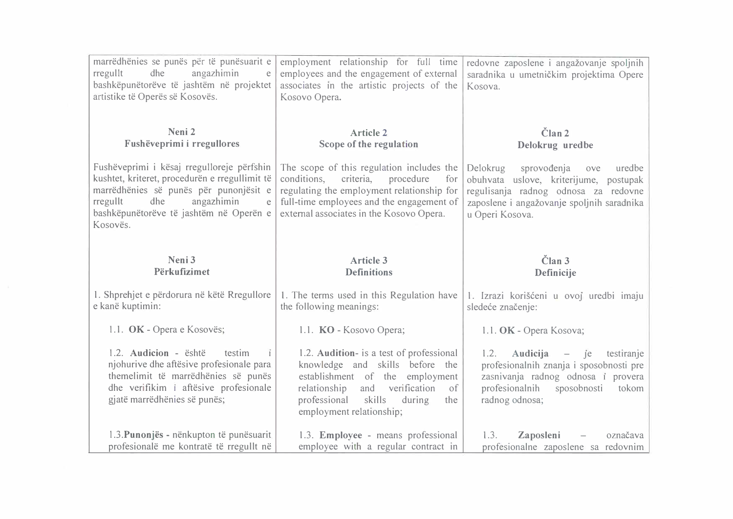| marrëdhënies se punës për të punësuarit e<br>rregullt<br>dhe<br>angazhimin<br>e<br>bashkëpunëtorëve të jashtëm në projektet<br>artistike të Operës së Kosovës.                                                                      | employment relationship for full time<br>employees and the engagement of external<br>associates in the artistic projects of the<br>Kosovo Opera.                                                                                   | redovne zaposlene i angažovanje spoljnih<br>saradnika u umetničkim projektima Opere<br>Kosova.                                                                                              |
|-------------------------------------------------------------------------------------------------------------------------------------------------------------------------------------------------------------------------------------|------------------------------------------------------------------------------------------------------------------------------------------------------------------------------------------------------------------------------------|---------------------------------------------------------------------------------------------------------------------------------------------------------------------------------------------|
| Neni 2<br>Fushëveprimi i rregullores                                                                                                                                                                                                | <b>Article 2</b><br>Scope of the regulation                                                                                                                                                                                        | Član <sub>2</sub><br>Delokrug uredbe                                                                                                                                                        |
| Fushëveprimi i kësaj rregulloreje përfshin<br>kushtet, kriteret, procedurën e rregullimit të<br>marrëdhënies së punës për punonjësit e<br>rregullt<br>dhe<br>angazhimin<br>e<br>bashkëpunëtorëve të jashtëm në Operën e<br>Kosovës. | The scope of this regulation includes the<br>conditions,<br>criteria,<br>procedure<br>for<br>regulating the employment relationship for<br>full-time employees and the engagement of<br>external associates in the Kosovo Opera.   | Delokrug<br>sprovođenja<br>uredbe<br>ove<br>obuhvata uslove, kriterijume, postupak<br>regulisanja radnog odnosa za redovne<br>zaposlene i angažovanje spoljnih saradnika<br>u Operi Kosova. |
|                                                                                                                                                                                                                                     |                                                                                                                                                                                                                                    |                                                                                                                                                                                             |
| Neni 3<br>Përkufizimet                                                                                                                                                                                                              | <b>Article 3</b><br><b>Definitions</b>                                                                                                                                                                                             | Član <sub>3</sub><br>Definicije                                                                                                                                                             |
| 1. Shprehjet e përdorura në këtë Rregullore<br>e kanë kuptimin:                                                                                                                                                                     | 1. The terms used in this Regulation have<br>the following meanings:                                                                                                                                                               | 1. Izrazi korišćeni u ovoj uredbi imaju<br>sledeće značenje:                                                                                                                                |
| 1.1. OK - Opera e Kosovës;                                                                                                                                                                                                          | 1.1. KO - Kosovo Opera;                                                                                                                                                                                                            | 1.1. OK - Opera Kosova;                                                                                                                                                                     |
| 1.2. Audicion - është<br>testim<br>njohurive dhe aftësive profesionale para<br>themelimit të marrëdhënies së punës<br>dhe verifikim i aftësive profesionale<br>gjatë marrëdhënies së punës;                                         | 1.2. Audition- is a test of professional<br>knowledge and skills before the<br>establishment of the employment<br>verification<br>relationship<br>and<br>of<br>professional<br>skills<br>during<br>the<br>employment relationship; | 1.2.<br>Audicija<br>$-$ je<br>testiranje<br>profesionalnih znanja i sposobnosti pre<br>zasnivanja radnog odnosa i provera<br>profesionalnih<br>sposobnosti<br>tokom<br>radnog odnosa;       |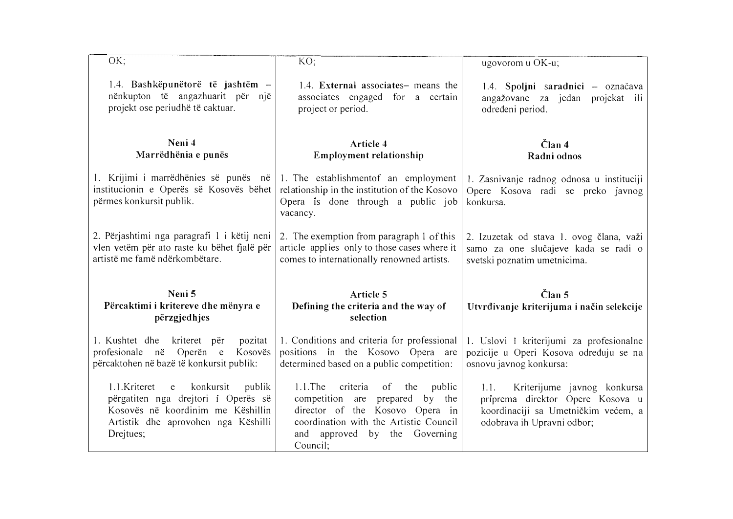| OK;                                                                                                                                                                                 | KO;                                                                                                                                                                                                           | ugovorom u OK-u;                                                                                                                             |
|-------------------------------------------------------------------------------------------------------------------------------------------------------------------------------------|---------------------------------------------------------------------------------------------------------------------------------------------------------------------------------------------------------------|----------------------------------------------------------------------------------------------------------------------------------------------|
| 1.4. Bashkëpunëtorë të jashtëm –<br>nënkupton të angazhuarit për një<br>projekt ose periudhë të caktuar.                                                                            | 1.4. External associates- means the<br>associates engaged for a certain<br>project or period.                                                                                                                 | 1.4. Spoljni saradnici - označava<br>angažovane za jedan projekat ili<br>određeni period.                                                    |
| Neni 4<br>Marrëdhënia e punës                                                                                                                                                       | Article 4<br>Employment relationship                                                                                                                                                                          | Član <sub>4</sub><br>Radni odnos                                                                                                             |
| 1. Krijimi i marrëdhënies së punës në<br>institucionin e Operës së Kosovës bëhet<br>përmes konkursit publik.                                                                        | 1. The establishment of an employment<br>relationship in the institution of the Kosovo<br>Opera is done through a public job<br>vacancy.                                                                      | 1. Zasnivanje radnog odnosa u instituciji<br>Opere Kosova radi se preko javnog<br>konkursa.                                                  |
| 2. Përjashtimi nga paragrafi 1 i këtij neni<br>vlen vetëm për ato raste ku bëhet fjalë për<br>artistë me famë ndërkombëtare.                                                        | 2. The exemption from paragraph 1 of this<br>article applies only to those cases where it<br>comes to internationally renowned artists.                                                                       | 2. Izuzetak od stava 1. ovog člana, važi<br>samo za one slučajeve kada se radi o<br>svetski poznatim umetnicima.                             |
| Neni 5<br>Përcaktimi i kritereve dhe mënyra e<br>përzgjedhjes                                                                                                                       | Article 5<br>Defining the criteria and the way of<br>selection                                                                                                                                                | $\check{\mathrm{C}}$ lan 5<br>Utvrđivanje kriterijuma i način selekcije                                                                      |
| 1. Kushtet dhe kriteret për<br>pozitat<br>profesionale në Operën e<br>Kosovës<br>përcaktohen në bazë të konkursit publik:                                                           | 1. Conditions and criteria for professional<br>positions in the Kosovo Opera are<br>determined based on a public competition:                                                                                 | 1. Uslovi i kriterijumi za profesionalne<br>pozicije u Operi Kosova određuju se na<br>osnovu javnog konkursa:                                |
| konkursit<br>1.1.Kriteret<br>publik<br>$\mathbf{e}$<br>përgatiten nga drejtori i Operës së<br>Kosovës në koordinim me Këshillin<br>Artistik dhe aprovohen nga Këshilli<br>Drejtues; | 1.1.The<br>criteria<br>of<br>the<br>public<br>competition are<br>prepared<br>by the<br>director of the Kosovo Opera in<br>coordination with the Artistic Council<br>and approved by the Governing<br>Council: | 1.1.<br>Kriterijume javnog konkursa<br>priprema direktor Opere Kosova u<br>koordinaciji sa Umetničkim većem, a<br>odobrava ih Upravni odbor; |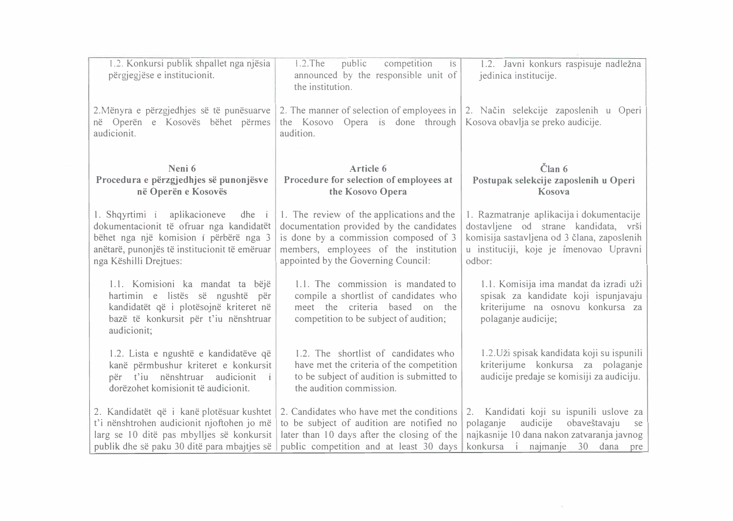| 1.2. Konkursi publik shpallet nga njësia<br>përgjegjëse e institucionit.                                                                                                                                 | $1.2$ . The<br>competition<br>public<br>$\overline{1}S$<br>announced by the responsible unit of<br>the institution.                                                                                            | 1.2. Javni konkurs raspisuje nadležna<br>jedinica institucije.                                                                                                                         |
|----------------------------------------------------------------------------------------------------------------------------------------------------------------------------------------------------------|----------------------------------------------------------------------------------------------------------------------------------------------------------------------------------------------------------------|----------------------------------------------------------------------------------------------------------------------------------------------------------------------------------------|
| 2. Mënyra e përzgjedhjes së të punësuarve<br>në Operën e Kosovës bëhet përmes<br>audicionit.                                                                                                             | the Kosovo Opera is done through Kosova obavlja se preko audicije.<br>audition.                                                                                                                                | 2. The manner of selection of employees in 2. Način selekcije zaposlenih u Operi                                                                                                       |
| Neni 6<br>Procedura e përzgjedhjes së punonjësve<br>në Operën e Kosovës                                                                                                                                  | Article 6<br>Procedure for selection of employees at<br>the Kosovo Opera                                                                                                                                       | $\tilde{\text{C}}$ lan 6<br>Postupak selekcije zaposlenih u Operi<br>Kosova                                                                                                            |
| 1. Shqyrtimi i aplikacioneve<br>$dhe$ i<br>dokumentacionit të ofruar nga kandidatët<br>bëhet nga një komision i përbërë nga 3<br>anëtarë, punonjës të institucionit të emëruar<br>nga Këshilli Drejtues: | 1. The review of the applications and the<br>documentation provided by the candidates<br>is done by a commission composed of 3<br>members, employees of the institution<br>appointed by the Governing Council: | 1. Razmatranje aplikacija i dokumentacije<br>dostavljene od strane kandidata, vrši<br>komisija sastavljena od 3 člana, zaposlenih<br>u instituciji, koje je imenovao Upravni<br>odbor: |
| 1.1. Komisioni ka mandat ta bëjë<br>hartimin e listës së ngushtë për<br>kandidatët që i plotësojnë kriteret në<br>bazë të konkursit për t'iu nënshtruar<br>audicionit;                                   | 1.1. The commission is mandated to<br>compile a shortlist of candidates who<br>meet the criteria based on the<br>competition to be subject of audition;                                                        | 1.1. Komisija ima mandat da izradi uži<br>spisak za kandidate koji ispunjavaju<br>kriterijume na osnovu konkursa za<br>polaganje audicije;                                             |
| 1.2. Lista e ngushtë e kandidatëve që<br>kanë përmbushur kriteret e konkursit<br>për t'iu nënshtruar audicionit<br>dorëzohet komisionit të audicionit.                                                   | 1.2. The shortlist of candidates who<br>have met the criteria of the competition<br>to be subject of audition is submitted to<br>the audition commission.                                                      | 1.2. Uži spisak kandidata koji su ispunili<br>kriterijume konkursa za polaganje<br>audicije predaje se komisiji za audiciju.                                                           |
| 2. Kandidatët që i kanë plotësuar kushtet<br>t'i nënshtrohen audicionit njoftohen jo më<br>larg se 10 ditë pas mbylljes së konkursit<br>publik dhe së paku 30 ditë para mbajtjes së                      | 2. Candidates who have met the conditions<br>to be subject of audition are notified no<br>later than 10 days after the closing of the<br>public competition and at least 30 days                               | 2. Kandidati koji su ispunili uslove za<br>audicije obaveštavaju<br>polaganje<br>se<br>najkasnije 10 dana nakon zatvaranja javnog<br>konkursa i najmanje 30 dana pre                   |

 $\mathcal{C}^{\mathcal{C}}$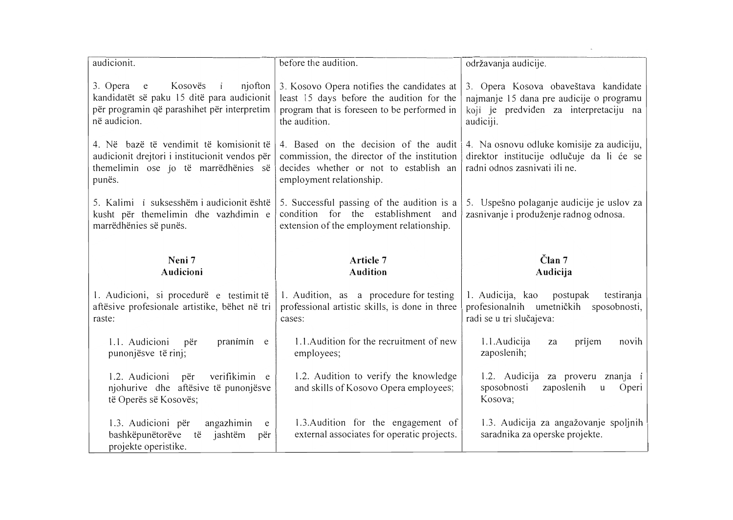| audicionit.                                                                                                                                                      | before the audition.                                                                                                                                       | održavanja audicije.                                                                                                                    |
|------------------------------------------------------------------------------------------------------------------------------------------------------------------|------------------------------------------------------------------------------------------------------------------------------------------------------------|-----------------------------------------------------------------------------------------------------------------------------------------|
| Kosovës<br>njofton<br>3. Opera<br>$\mathbf{i}$<br>e<br>kandidatët së paku 15 ditë para audicionit<br>për programin që parashihet për interpretim<br>në audicion. | 3. Kosovo Opera notifies the candidates at<br>least 15 days before the audition for the<br>program that is foreseen to be performed in<br>the audition.    | 3. Opera Kosova obaveštava kandidate<br>najmanje 15 dana pre audicije o programu<br>koji je predviđen za interpretaciju na<br>audiciji. |
| 4. Në bazë të vendimit të komisionit të<br>audicionit drejtori i institucionit vendos për<br>themelimin ose jo të marrëdhënies së<br>punës.                      | 4. Based on the decision of the audit<br>commission, the director of the institution<br>decides whether or not to establish an<br>employment relationship. | 4. Na osnovu odluke komisije za audiciju,<br>direktor institucije odlučuje da li će se<br>radni odnos zasnivati ili ne.                 |
| 5. Kalimi i suksesshëm i audicionit është<br>kusht për themelimin dhe vazhdimin e<br>marrëdhënies së punës.                                                      | 5. Successful passing of the audition is a<br>condition for the establishment and<br>extension of the employment relationship.                             | 5. Uspešno polaganje audicije je uslov za<br>zasnivanje i produženje radnog odnosa.                                                     |
| Neni 7<br>Audicioni                                                                                                                                              | Article 7<br><b>Audition</b>                                                                                                                               | $\check{\text{C}}$ lan 7<br>Audicija                                                                                                    |
| 1. Audicioni, si procedurë e testimit të                                                                                                                         | 1. Audition, as a procedure for testing                                                                                                                    |                                                                                                                                         |
| aftësive profesionale artistike, bëhet në tri<br>raste:                                                                                                          | professional artistic skills, is done in three<br>cases:                                                                                                   | 1. Audicija, kao<br>postupak<br>testiranja<br>profesionalnih umetničkih<br>sposobnosti,<br>radi se u tri slučajeva:                     |
| 1.1. Audicioni<br>pranimin e<br>për<br>punonjësve të rinj;                                                                                                       | 1.1. Audition for the recruitment of new<br>employees;                                                                                                     | prijem<br>1.1.Audicija<br>novih<br>za<br>zaposlenih;                                                                                    |
| verifikimin e<br>1.2. Audicioni<br>për<br>njohurive dhe aftësive të punonjësve<br>të Operës së Kosovës;                                                          | 1.2. Audition to verify the knowledge<br>and skills of Kosovo Opera employees;                                                                             | 1.2. Audicija za proveru znanja i<br>sposobnosti<br>zaposlenih<br>Operi<br>u<br>Kosova;                                                 |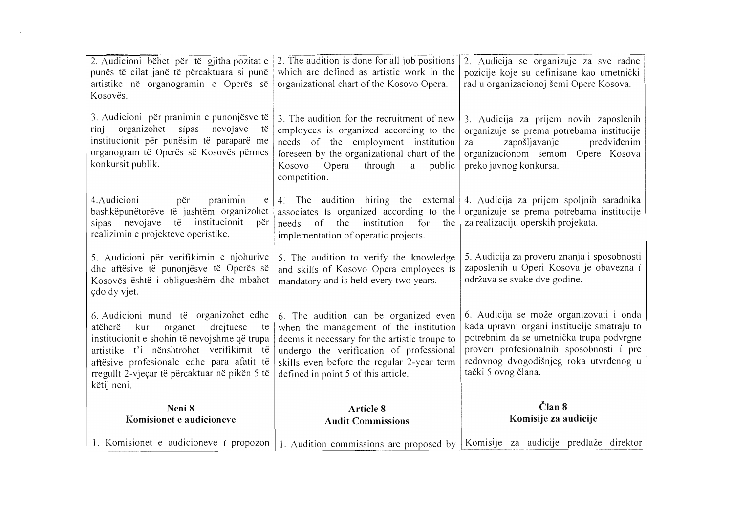| 2. Audicioni bëhet për të gjitha pozitat e<br>punës të cilat janë të përcaktuara si punë<br>artistike në organogramin e Operës së<br>Kosovës.                                                                                                                                                  | 2. The audition is done for all job positions<br>which are defined as artistic work in the<br>organizational chart of the Kosovo Opera.                                                                                                                           | 2. Audicija se organizuje za sve radne<br>pozicije koje su definisane kao umetnički<br>rad u organizacionoj šemi Opere Kosova.                                                                                                                  |
|------------------------------------------------------------------------------------------------------------------------------------------------------------------------------------------------------------------------------------------------------------------------------------------------|-------------------------------------------------------------------------------------------------------------------------------------------------------------------------------------------------------------------------------------------------------------------|-------------------------------------------------------------------------------------------------------------------------------------------------------------------------------------------------------------------------------------------------|
| 3. Audicioni për pranimin e punonjësve të<br>organizohet<br>sipas<br>nevojave<br>rinj<br>të<br>institucionit për punësim të paraparë me<br>organogram të Operës së Kosovës përmes<br>konkursit publik.                                                                                         | 3. The audition for the recruitment of new<br>employees is organized according to the<br>needs of the employment institution<br>foreseen by the organizational chart of the<br>Kosovo<br>Opera<br>through<br>public<br>a<br>competition.                          | 3. Audicija za prijem novih zaposlenih<br>organizuje se prema potrebama institucije<br>zapošljavanje<br>predviđenim<br>za<br>organizacionom šemom Opere Kosova<br>preko javnog konkursa.                                                        |
| 4. Audicioni<br>për<br>pranimin<br>e<br>bashkëpunëtorëve të jashtëm organizohet<br>sipas nevojave të institucionit<br>për<br>realizimin e projekteve operistike.                                                                                                                               | 4. The audition hiring the external<br>associates is organized according to the<br>needs of the<br>institution for<br>the<br>implementation of operatic projects.                                                                                                 | 4. Audicija za prijem spoljnih saradnika<br>organizuje se prema potrebama institucije<br>za realizaciju operskih projekata.                                                                                                                     |
| 5. Audicioni për verifikimin e njohurive<br>dhe aftësive të punonjësve të Operës së<br>Kosovës është i obligueshëm dhe mbahet<br>çdo dy vjet.                                                                                                                                                  | 5. The audition to verify the knowledge<br>and skills of Kosovo Opera employees is<br>mandatory and is held every two years.                                                                                                                                      | 5. Audicija za proveru znanja i sposobnosti<br>zaposlenih u Operi Kosova je obavezna i<br>održava se svake dve godine.                                                                                                                          |
| 6. Audicioni mund të organizohet edhe<br>drejtuese<br>atëherë<br>kur<br>organet<br>të<br>institucionit e shohin të nevojshme që trupa<br>artistike t'i nënshtrohet verifikimit të<br>aftësive profesionale edhe para afatit të<br>rregullt 2-vjeçar të përcaktuar në pikën 5 të<br>këtij neni. | 6. The audition can be organized even<br>when the management of the institution<br>deems it necessary for the artistic troupe to<br>undergo the verification of professional<br>skills even before the regular 2-year term<br>defined in point 5 of this article. | 6. Audicija se može organizovati i onda<br>kada upravni organi institucije smatraju to<br>potrebnim da se umetnička trupa podvrgne<br>proveri profesionalnih sposobnosti i pre<br>redovnog dvogodišnjeg roka utvrđenog u<br>tački 5 ovog člana. |
| Neni 8<br>Komisionet e audicioneve                                                                                                                                                                                                                                                             | Article 8<br><b>Audit Commissions</b>                                                                                                                                                                                                                             | Član 8<br>Komisije za audicije                                                                                                                                                                                                                  |
| 1. Komisionet e audicioneve i propozon                                                                                                                                                                                                                                                         | 1. Audition commissions are proposed by                                                                                                                                                                                                                           | Komisije za audicije predlaže direktor                                                                                                                                                                                                          |

 $\frac{1}{2} \frac{1}{2} \frac{d\theta}{d\theta}$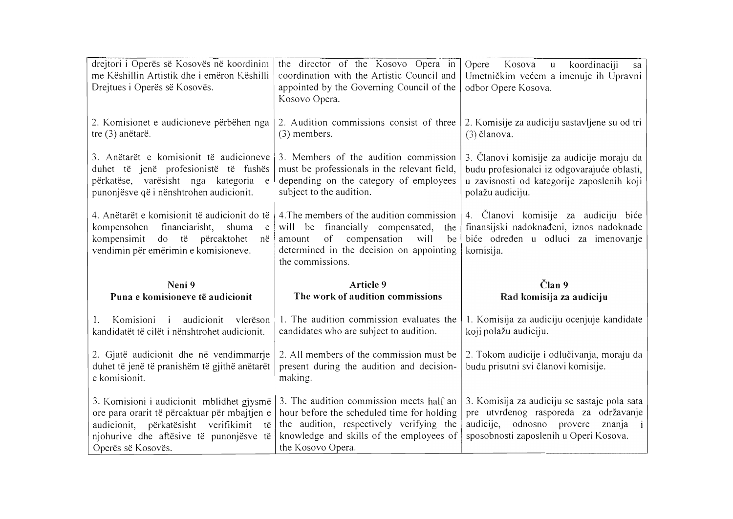| drejtori i Operës së Kosovës në koordinim<br>me Këshillin Artistik dhe i emëron Këshilli<br>Drejtues i Operës së Kosovës.                                                                                                                                 | the director of the Kosovo Opera in<br>coordination with the Artistic Council and<br>appointed by the Governing Council of the<br>Kosovo Opera.                             | Opere<br>Kosova<br>koordinaciji<br>$\mathbf{u}$<br>sa<br>Umetničkim većem a imenuje ih Upravni<br>odbor Opere Kosova.                                      |
|-----------------------------------------------------------------------------------------------------------------------------------------------------------------------------------------------------------------------------------------------------------|-----------------------------------------------------------------------------------------------------------------------------------------------------------------------------|------------------------------------------------------------------------------------------------------------------------------------------------------------|
| 2. Komisionet e audicioneve përbëhen nga<br>tre (3) anëtarë.                                                                                                                                                                                              | 2. Audition commissions consist of three<br>(3) members.                                                                                                                    | 2. Komisije za audiciju sastavljene su od tri<br>$(3)$ članova.                                                                                            |
| 3. Anëtarët e komisionit të audicioneve<br>duhet të jenë profesionistë të fushës<br>përkatëse, varësisht nga kategoria<br>$\mathbf{e}% _{0}\equiv\mathbf{e}_{\mathrm{e}}\left( \mathbf{e}_{\mathrm{e}}\right)$<br>punonjësve që i nënshtrohen audicionit. | 3. Members of the audition commission<br>must be professionals in the relevant field,<br>depending on the category of employees<br>subject to the audition.                 | 3. Članovi komisije za audicije moraju da<br>budu profesionalci iz odgovarajuće oblasti,<br>u zavisnosti od kategorije zaposlenih koji<br>polažu audiciju. |
| 4. Anëtarët e komisionit të audicionit do të<br>financiarisht,<br>kompensohen<br>shuma<br>e<br>kompensimit do të përcaktohet<br>në<br>vendimin për emërimin e komisioneve.                                                                                | 4. The members of the audition commission<br>will be financially compensated,<br>the<br>of compensation<br>will<br>be<br>amount<br>determined in the decision on appointing | 4. Članovi komisije za audiciju biće<br>finansijski nadoknađeni, iznos nadoknade<br>biće određen u odluci za imenovanje<br>komisija.                       |
|                                                                                                                                                                                                                                                           | the commissions.                                                                                                                                                            |                                                                                                                                                            |
| Neni 9<br>Puna e komisioneve të audicionit                                                                                                                                                                                                                | Article 9<br>The work of audition commissions                                                                                                                               | $\check{\text{Cl}}$ an 9<br>Rad komisija za audiciju                                                                                                       |
| Komisioni i audicionit vlerëson<br>kandidatët të cilët i nënshtrohet audicionit.                                                                                                                                                                          | 1. The audition commission evaluates the<br>candidates who are subject to audition.                                                                                         | 1. Komisija za audiciju ocenjuje kandidate<br>koji polažu audiciju.                                                                                        |
| 2. Gjatë audicionit dhe në vendimmarrje<br>duhet të jenë të pranishëm të gjithë anëtarët<br>e komisionit.                                                                                                                                                 | 2. All members of the commission must be<br>present during the audition and decision-<br>making.                                                                            | 2. Tokom audicije i odlučivanja, moraju da<br>budu prisutni svi članovi komisije.                                                                          |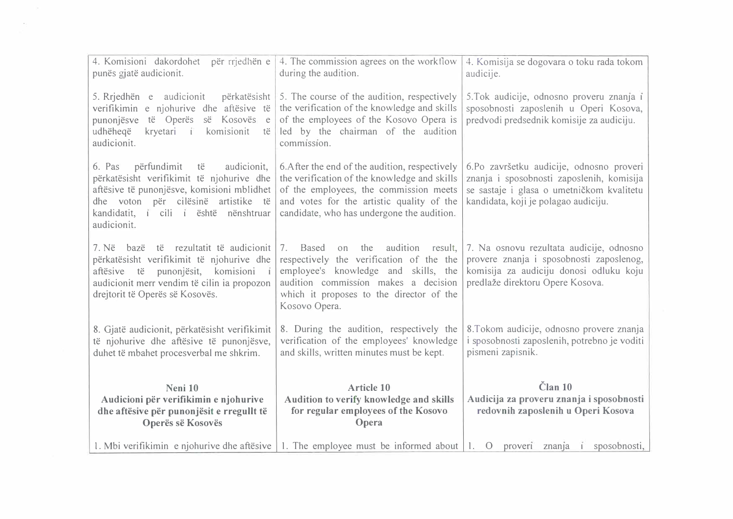| 4. Komisioni dakordohet<br>për rrjedhën e<br>punës gjatë audicionit.                                                                                                                                                                 | 4. The commission agrees on the workflow<br>during the audition.                                                                                                                                                                      | 4. Komisija se dogovara o toku rada tokom<br>audicije.                                                                                                                     |
|--------------------------------------------------------------------------------------------------------------------------------------------------------------------------------------------------------------------------------------|---------------------------------------------------------------------------------------------------------------------------------------------------------------------------------------------------------------------------------------|----------------------------------------------------------------------------------------------------------------------------------------------------------------------------|
| 5. Rrjedhën e audicionit<br>përkatësisht<br>verifikimin e njohurive dhe aftësive të<br>punonjësve<br>të Operës<br>së Kosovës<br>e<br>udhëheqë<br>kryetari i<br>komisionit<br>të<br>audicionit.                                       | 5. The course of the audition, respectively<br>the verification of the knowledge and skills<br>of the employees of the Kosovo Opera is<br>led by the chairman of the audition<br>commission.                                          | 5. Tok audicije, odnosno proveru znanja i<br>sposobnosti zaposlenih u Operi Kosova,<br>predvodi predsednik komisije za audiciju.                                           |
| 6. Pas<br>përfundimit<br>audicionit,<br>të<br>përkatësisht verifikimit të njohurive dhe<br>aftësive të punonjësve, komisioni mblidhet<br>dhe voton për cilësinë artistike të<br>kandidatit, i cili i është nënshtruar<br>audicionit. | 6. After the end of the audition, respectively<br>the verification of the knowledge and skills<br>of the employees, the commission meets<br>and votes for the artistic quality of the<br>candidate, who has undergone the audition.   | 6.Po završetku audicije, odnosno proveri<br>znanja i sposobnosti zaposlenih, komisija<br>se sastaje i glasa o umetničkom kvalitetu<br>kandidata, koji je polagao audiciju. |
| 7. Në bazë të rezultatit të audicionit<br>përkatësisht verifikimit të njohurive dhe<br>punonjësit, komisioni i<br>aftësive të<br>audicionit merr vendim të cilin ia propozon<br>drejtorit të Operës së Kosovës.                      | audition result,<br>Based<br>the<br>on<br>7.<br>respectively the verification of the the<br>employee's knowledge and skills, the<br>audition commission makes a decision<br>which it proposes to the director of the<br>Kosovo Opera. | 7. Na osnovu rezultata audicije, odnosno<br>provere znanja i sposobnosti zaposlenog,<br>komisija za audiciju donosi odluku koju<br>predlaže direktoru Opere Kosova.        |
| 8. Gjatë audicionit, përkatësisht verifikimit<br>të njohurive dhe aftësive të punonjësve,<br>duhet të mbahet procesverbal me shkrim.                                                                                                 | 8. During the audition, respectively the<br>verification of the employees' knowledge<br>and skills, written minutes must be kept.                                                                                                     | 8. Tokom audicije, odnosno provere znanja<br>i sposobnosti zaposlenih, potrebno je voditi<br>pismeni zapisnik.                                                             |
| Neni 10                                                                                                                                                                                                                              | <b>Article 10</b>                                                                                                                                                                                                                     | Član 10                                                                                                                                                                    |
| Audicioni për verifikimin e njohurive<br>dhe aftësive për punonjësit e rregullt të<br>Operës së Kosovës                                                                                                                              | Audition to verify knowledge and skills<br>for regular employees of the Kosovo<br>Opera                                                                                                                                               | Audicija za proveru znanja i sposobnosti<br>redovnih zaposlenih u Operi Kosova                                                                                             |
| 1. Mbi verifikimin e njohurive dhe aftësive                                                                                                                                                                                          | 1. The employee must be informed about $\begin{bmatrix} 1 \\ 0 \end{bmatrix}$ prover znanja i                                                                                                                                         | sposobnosti,                                                                                                                                                               |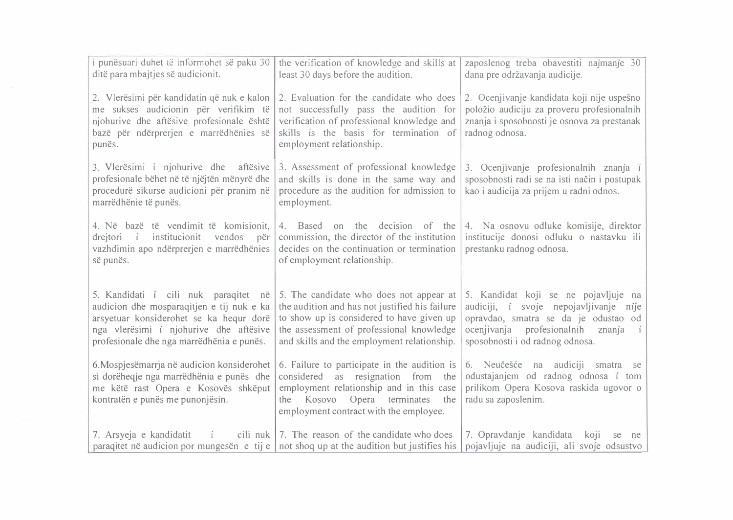| i punësuari duhet të informohet së paku 30<br>ditë para mbajtjes së audicionit.                                                                                                                                     | the verification of knowledge and skills at<br>least 30 days before the audition.                                                                                                                                                 | zaposlenog treba obavestiti najmanje 30<br>dana pre održavanja audicije.                                                                                                                                             |
|---------------------------------------------------------------------------------------------------------------------------------------------------------------------------------------------------------------------|-----------------------------------------------------------------------------------------------------------------------------------------------------------------------------------------------------------------------------------|----------------------------------------------------------------------------------------------------------------------------------------------------------------------------------------------------------------------|
| 2. Vlerësimi për kandidatin që nuk e kalon<br>me sukses audicionin për verifikim të<br>njohurive dhe aftësive profesionale është<br>bazë për ndërprerjen e marrëdhënies së<br>punës.                                | 2. Evaluation for the candidate who does<br>not successfully pass the audition for<br>verification of professional knowledge and<br>skills is the basis for termination of<br>employment relationship.                            | 2. Ocenjivanje kandidata koji nije uspešno<br>položio audiciju za proveru profesionalnih<br>znanja i sposobnosti je osnova za prestanak<br>radnog odnosa.                                                            |
| 3. Vlerësimi i njohurive dhe aftësive<br>profesionale bëhet në të njëjtën mënyrë dhe<br>procedurë sikurse audicioni për pranim në<br>marrëdhënie të punës.                                                          | 3. Assessment of professional knowledge<br>and skills is done in the same way and<br>procedure as the audition for admission to<br>employment.                                                                                    | 3. Ocenjivanje profesionalnih znanja i<br>sposobnosti radi se na isti način i postupak<br>kao i audicija za prijem u radni odnos.                                                                                    |
| 4. Në bazë të vendimit të komisionit,<br>institucionit<br>vendos<br>drejtori i<br>për<br>vazhdimin apo ndërprerjen e marrëdhënies<br>së punës.                                                                      | 4. Based on the decision of the<br>commission, the director of the institution<br>decides on the continuation or termination<br>of employment relationship.                                                                       | 4. Na osnovu odluke komisije, direktor<br>institucije donosi odluku o nastavku ili<br>prestanku radnog odnosa.                                                                                                       |
| 5. Kandidati i cili nuk paraqitet në<br>audicion dhe mosparaqitjen e tij nuk e ka<br>arsyetuar konsiderohet se ka hequr dorë<br>nga vlerësimi i njohurive dhe aftësive<br>profesionale dhe nga marrëdhënia e punës. | 5. The candidate who does not appear at<br>the audition and has not justified his failure<br>to show up is considered to have given up<br>the assessment of professional knowledge<br>and skills and the employment relationship. | 5. Kandidat koji se ne pojavljuje na<br>audiciji, i svoje nepojavljivanje nije<br>opravdao, smatra se da je odustao od<br>ocenjivanja<br>profesionalnih<br>znanja<br>$\mathbf{i}$<br>sposobnosti i od radnog odnosa. |
| 6. Mospjesëmarrja në audicion konsiderohet<br>si dorëheqje nga marrëdhënia e punës dhe<br>me këtë rast Opera e Kosovës shkëput<br>kontratën e punës me punonjësin.                                                  | 6. Failure to participate in the audition is<br>considered as resignation from<br>the<br>employment relationship and in this case<br>the Kosovo<br>Opera terminates<br>the<br>employment contract with the employee.              | 6. Neučešće na audiciji smatra<br>se<br>odustajanjem od radnog odnosa i tom<br>prilikom Opera Kosova raskida ugovor o<br>radu sa zaposlenim.                                                                         |
| 7. Arsyeja e kandidatit<br>$\tilde{1}$                                                                                                                                                                              | cili nuk   7. The reason of the candidate who does<br>paraqitet në audicion por mungesën e tij e   not shoq up at the audition but justifies his                                                                                  | 7. Opravdanje kandidata<br>koji<br>se<br>ne<br>pojavljuje na audiciji, ali svoje odsustvo                                                                                                                            |

 $\mathcal{O}(\mathcal{A})$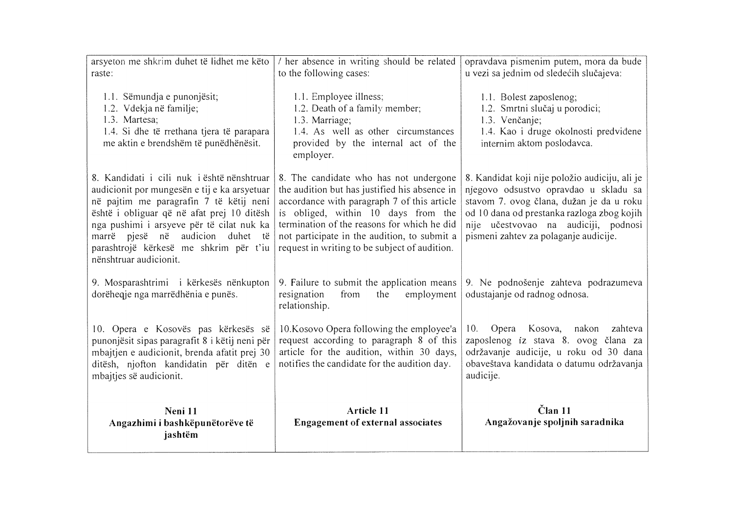| arsyeton me shkrim duhet të lidhet me këto<br>raste:                                                                                                                                                                                                                                                                                     | her absence in writing should be related<br>to the following cases:                                                                                                                                                                                                                                                           | opravdava pismenim putem, mora da bude<br>u vezi sa jednim od sledećih slučajeva:                                                                                                                                                                                  |
|------------------------------------------------------------------------------------------------------------------------------------------------------------------------------------------------------------------------------------------------------------------------------------------------------------------------------------------|-------------------------------------------------------------------------------------------------------------------------------------------------------------------------------------------------------------------------------------------------------------------------------------------------------------------------------|--------------------------------------------------------------------------------------------------------------------------------------------------------------------------------------------------------------------------------------------------------------------|
| 1.1. Sëmundja e punonjësit;<br>1.2. Vdekja në familje;<br>1.3. Martesa;<br>1.4. Si dhe të rrethana tjera të parapara<br>me aktin e brendshëm të punëdhënësit.                                                                                                                                                                            | 1.1. Employee illness;<br>1.2. Death of a family member;<br>1.3. Marriage;<br>1.4. As well as other circumstances<br>provided by the internal act of the<br>employer.                                                                                                                                                         | 1.1. Bolest zaposlenog;<br>1.2. Smrtni slučaj u porodici;<br>1.3. Venčanje;<br>1.4. Kao i druge okolnosti predviđene<br>internim aktom poslodavca.                                                                                                                 |
| 8. Kandidati i cili nuk i është nënshtruar<br>audicionit por mungesën e tij e ka arsyetuar<br>në pajtim me paragrafin 7 të këtij neni<br>është i obliguar që në afat prej 10 ditësh<br>nga pushimi i arsyeve për të cilat nuk ka<br>marrë pjesë në audicion duhet të<br>parashtrojë kërkesë me shkrim për t'iu<br>nënshtruar audicionit. | 8. The candidate who has not undergone<br>the audition but has justified his absence in<br>accordance with paragraph 7 of this article<br>is obliged, within 10 days from the<br>termination of the reasons for which he did<br>not participate in the audition, to submit a<br>request in writing to be subject of audition. | 8. Kandidat koji nije položio audiciju, ali je<br>njegovo odsustvo opravdao u skladu sa<br>stavom 7. ovog člana, dužan je da u roku<br>od 10 dana od prestanka razloga zbog kojih<br>nije učestvovao na audiciji, podnosi<br>pismeni zahtev za polaganje audicije. |
| 9. Mosparashtrimi i kërkesës nënkupton<br>dorëheqje nga marrëdhënia e punës.                                                                                                                                                                                                                                                             | 9. Failure to submit the application means<br>resignation<br>from<br>the<br>employment<br>relationship.                                                                                                                                                                                                                       | 9. Ne podnošenje zahteva podrazumeva<br>odustajanje od radnog odnosa.                                                                                                                                                                                              |
| 10. Opera e Kosovës pas kërkesës së<br>punonjësit sipas paragrafit 8 i këtij neni për<br>mbajtjen e audicionit, brenda afatit prej 30<br>ditësh, njofton kandidatin për ditën e<br>mbajtjes së audicionit.                                                                                                                               | 10. Kosovo Opera following the employee'a<br>request according to paragraph 8 of this<br>article for the audition, within 30 days,<br>notifies the candidate for the audition day.                                                                                                                                            | Opera Kosova, nakon<br>10.<br>zahteva<br>zaposlenog iz stava 8. ovog člana za<br>održavanje audicije, u roku od 30 dana<br>obaveštava kandidata o datumu održavanja<br>audicije.                                                                                   |
| Neni 11<br>Angazhimi i bashkëpunëtorëve të<br>jashtëm                                                                                                                                                                                                                                                                                    | Article 11<br><b>Engagement of external associates</b>                                                                                                                                                                                                                                                                        | $\check{\text{C}}$ lan 11<br>Angažovanje spoljnih saradnika                                                                                                                                                                                                        |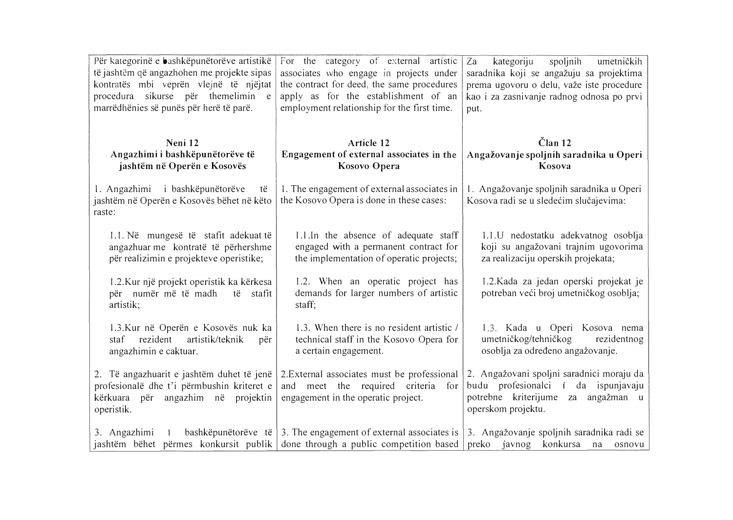| Për kategorinë e bashkëpunëtorëve artistikë<br>të jashtëm që angazhohen me projekte sipas<br>kontratës mbi veprën vlejnë të njëjtat<br>procedura sikurse për themelimin e<br>marrëdhënies së punës për herë të parë. | For the category of external artistic<br>associates who engage in projects under<br>the contract for deed, the same procedures<br>apply as for the establishment of an<br>employment relationship for the first time. | kategoriju<br>spoljnih<br>Za<br>umetničkih<br>saradnika koji se angažuju sa projektima<br>prema ugovoru o delu, važe iste procedure<br>kao i za zasnivanje radnog odnosa po prvi<br>put. |
|----------------------------------------------------------------------------------------------------------------------------------------------------------------------------------------------------------------------|-----------------------------------------------------------------------------------------------------------------------------------------------------------------------------------------------------------------------|------------------------------------------------------------------------------------------------------------------------------------------------------------------------------------------|
| Neni 12<br>Angazhimi i bashkëpunëtorëve të<br>jashtëm në Operën e Kosovës                                                                                                                                            | Article 12<br>Engagement of external associates in the<br>Kosovo Opera                                                                                                                                                | $\check{\mathrm{C}}$ lan 12<br>Angažovanje spoljnih saradnika u Operi<br>Kosova                                                                                                          |
| 1. Angazhimi i bashkëpunëtorëve<br>të<br>jashtëm në Operën e Kosovës bëhet në këto<br>raste:                                                                                                                         | 1. The engagement of external associates in<br>the Kosovo Opera is done in these cases:                                                                                                                               | 1. Angažovanje spoljnih saradnika u Operi<br>Kosova radi se u sledećim slučajevima:                                                                                                      |
| 1.1. Në mungesë të stafit adekuat të<br>angazhuar me kontratë të përhershme<br>për realizimin e projekteve operistike;                                                                                               | 1.1. In the absence of adequate staff<br>engaged with a permanent contract for<br>the implementation of operatic projects;                                                                                            | 1.1.U nedostatku adekvatnog osoblja<br>koji su angažovani trajnim ugovorima<br>za realizaciju operskih projekata;                                                                        |
| 1.2. Kur një projekt operistik ka kërkesa<br>për numër më të madh<br>të stafit<br>artistik;                                                                                                                          | 1.2. When an operatic project has<br>demands for larger numbers of artistic<br>staff;                                                                                                                                 | 1.2. Kada za jedan operski projekat je<br>potreban veći broj umetničkog osoblja;                                                                                                         |
| 1.3. Kur në Operën e Kosovës nuk ka<br>rezident<br>artistik/teknik<br>staf<br>për<br>angazhimin e caktuar.                                                                                                           | 1.3. When there is no resident artistic /<br>technical staff in the Kosovo Opera for<br>a certain engagement.                                                                                                         | 1.3. Kada u Operi Kosova nema<br>umetničkog/tehničkog<br>rezidentnog<br>osoblja za određeno angažovanje.                                                                                 |
| 2. Të angazhuarit e jashtëm duhet të jenë<br>profesionalë dhe t'i përmbushin kriteret e<br>kërkuara për angazhim në<br>projektin<br>operistik.                                                                       | 2. External associates must be professional<br>meet the required criteria<br>and<br>for<br>engagement in the operatic project.                                                                                        | 2. Angažovani spoljni saradnici moraju da<br>budu profesionalci i da ispunjavaju<br>potrebne kriterijume za angažman u<br>operskom projektu.                                             |
| 3. Angazhimi<br>bashkëpunëtorëve të<br>$\mathbf{i}$<br>jashtëm bëhet përmes konkursit publik                                                                                                                         | 3. The engagement of external associates is<br>done through a public competition based                                                                                                                                | 3. Angažovanje spoljnih saradnika radi se<br>preko<br>javnog konkursa na<br>osnovu                                                                                                       |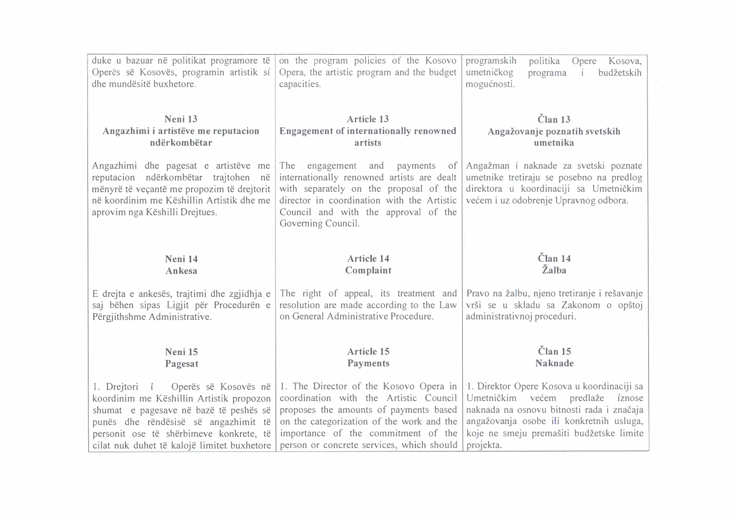| duke u bazuar në politikat programore të<br>Operës së Kosovës, programin artistik si<br>dhe mundësitë buxhetore.                                                                                          | on the program policies of the Kosovo<br>Opera, the artistic program and the budget<br>capacities.                                                                                                                                          | programskih<br>politika<br>Opere Kosova,<br>umetničkog<br>budžetskih<br>programa<br>mogućnosti.                                                                      |
|-----------------------------------------------------------------------------------------------------------------------------------------------------------------------------------------------------------|---------------------------------------------------------------------------------------------------------------------------------------------------------------------------------------------------------------------------------------------|----------------------------------------------------------------------------------------------------------------------------------------------------------------------|
| Neni 13                                                                                                                                                                                                   | <b>Article 13</b>                                                                                                                                                                                                                           | Član <sub>13</sub>                                                                                                                                                   |
| Angazhimi i artistëve me reputacion                                                                                                                                                                       | <b>Engagement of internationally renowned</b>                                                                                                                                                                                               | Angažovanje poznatih svetskih                                                                                                                                        |
| ndërkombëtar                                                                                                                                                                                              | artists                                                                                                                                                                                                                                     | umetnika                                                                                                                                                             |
| Angazhimi dhe pagesat e artistëve me<br>reputacion ndërkombëtar trajtohen në<br>mënyrë të veçantë me propozim të drejtorit<br>në koordinim me Këshillin Artistik dhe me<br>aprovim nga Këshilli Drejtues. | engagement<br>payments of<br>The<br>and<br>internationally renowned artists are dealt<br>with separately on the proposal of the<br>director in coordination with the Artistic<br>Council and with the approval of the<br>Governing Council. | Angažman i naknade za svetski poznate<br>umetnike tretiraju se posebno na predlog<br>direktora u koordinaciji sa Umetničkim<br>većem i uz odobrenje Upravnog odbora. |
| Neni 14                                                                                                                                                                                                   | <b>Article 14</b>                                                                                                                                                                                                                           | Član 14                                                                                                                                                              |
| Ankesa                                                                                                                                                                                                    | Complaint                                                                                                                                                                                                                                   | Žalba                                                                                                                                                                |
| E drejta e ankesës, trajtimi dhe zgjidhja e                                                                                                                                                               | The right of appeal, its treatment and                                                                                                                                                                                                      | Pravo na žalbu, njeno tretiranje i rešavanje                                                                                                                         |
| saj bëhen sipas Ligjit për Procedurën e                                                                                                                                                                   | resolution are made according to the Law                                                                                                                                                                                                    | vrši se u skladu sa Zakonom o opštoj                                                                                                                                 |
| Përgjithshme Administrative.                                                                                                                                                                              | on General Administrative Procedure.                                                                                                                                                                                                        | administrativnoj proceduri.                                                                                                                                          |
| Neni 15                                                                                                                                                                                                   | <b>Article 15</b>                                                                                                                                                                                                                           | Član <sub>15</sub>                                                                                                                                                   |
| Pagesat                                                                                                                                                                                                   | <b>Payments</b>                                                                                                                                                                                                                             | <b>Naknade</b>                                                                                                                                                       |
| 1. Drejtori i Operës së Kosovës në                                                                                                                                                                        | 1. The Director of the Kosovo Opera in                                                                                                                                                                                                      | 1. Direktor Opere Kosova u koordinaciji sa                                                                                                                           |
| koordinim me Këshillin Artistik propozon                                                                                                                                                                  | coordination with the Artistic Council                                                                                                                                                                                                      | Umetničkim većem predlaže iznose                                                                                                                                     |
| shumat e pagesave në bazë të peshës së                                                                                                                                                                    | proposes the amounts of payments based                                                                                                                                                                                                      | naknada na osnovu bitnosti rada i značaja                                                                                                                            |
| punës dhe rëndësisë së angazhimit të                                                                                                                                                                      | on the categorization of the work and the                                                                                                                                                                                                   | angažovanja osobe ili konkretnih usluga,                                                                                                                             |
| personit ose të shërbimeve konkrete, të                                                                                                                                                                   | importance of the commitment of the                                                                                                                                                                                                         | koje ne smeju premašiti budžetske limite                                                                                                                             |
| cilat nuk duhet të kalojë limitet buxhetore                                                                                                                                                               | person or concrete services, which should                                                                                                                                                                                                   | projekta.                                                                                                                                                            |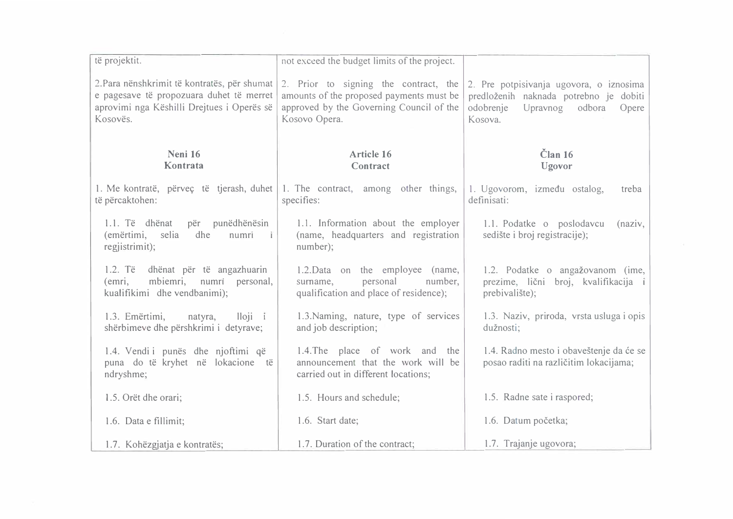| të projektit.                                                                                                                                      | not exceed the budget limits of the project.                                                                                                   |                                                                                                                                          |
|----------------------------------------------------------------------------------------------------------------------------------------------------|------------------------------------------------------------------------------------------------------------------------------------------------|------------------------------------------------------------------------------------------------------------------------------------------|
| 2. Para nënshkrimit të kontratës, për shumat<br>e pagesave të propozuara duhet të merret<br>aprovimi nga Këshilli Drejtues i Operës së<br>Kosovës. | 2. Prior to signing the contract, the<br>amounts of the proposed payments must be<br>approved by the Governing Council of the<br>Kosovo Opera. | 2. Pre potpisivanja ugovora, o iznosima<br>predloženih naknada potrebno je dobiti<br>odobrenje<br>Upravnog<br>odbora<br>Opere<br>Kosova. |
| Neni 16<br>Kontrata                                                                                                                                | <b>Article 16</b><br>Contract                                                                                                                  | Clan 16<br>Ugovor                                                                                                                        |
| 1. Me kontratë, përveç të tjerash, duhet 1. The contract, among other things,<br>të përcaktohen:                                                   | specifies:                                                                                                                                     | 1. Ugovorom, između ostalog,<br>treba<br>definisati:                                                                                     |
| punëdhënësin<br>1.1. Të dhënat<br>për<br>(emërtimi,<br>selia<br>dhe<br>numri<br>– ï<br>regjistrimit);                                              | 1.1. Information about the employer<br>(name, headquarters and registration<br>number);                                                        | 1.1. Podatke o poslodavcu<br>(naziv,<br>sedište i broj registracije);                                                                    |
| $1.2.$ Të<br>dhënat për të angazhuarin<br>mbiemri, numri personal,<br>(emri,<br>kualifikimi dhe vendbanimi);                                       | 1.2. Data on the employee (name,<br>personal<br>number,<br>sumame,<br>qualification and place of residence);                                   | 1.2. Podatke o angažovanom (ime,<br>prezime, lični broj, kvalifikacija i<br>prebivalište);                                               |
| lloji i<br>1.3. Emërtimi,<br>natyra,<br>shërbimeve dhe përshkrimi i detyrave;                                                                      | 1.3. Naming, nature, type of services<br>and job description;                                                                                  | 1.3. Naziv, priroda, vrsta usluga i opis<br>dužnosti;                                                                                    |
| 1.4. Vendi i punës dhe njoftimi që<br>puna do të kryhet në lokacione<br>të<br>ndryshme;                                                            | 1.4. The place of work and the<br>announcement that the work will be<br>carried out in different locations;                                    | 1.4. Radno mesto i obaveštenje da će se<br>posao raditi na različitim lokacijama;                                                        |
| 1.5. Orët dhe orari;                                                                                                                               | 1.5. Hours and schedule;                                                                                                                       | 1.5. Radne sate i raspored;                                                                                                              |
| 1.6. Data e fillimit;                                                                                                                              | 1.6. Start date;                                                                                                                               | 1.6. Datum početka;                                                                                                                      |
| 1.7. Kohëzgjatja e kontratës;                                                                                                                      | 1.7. Duration of the contract;                                                                                                                 | 1.7. Trajanje ugovora;                                                                                                                   |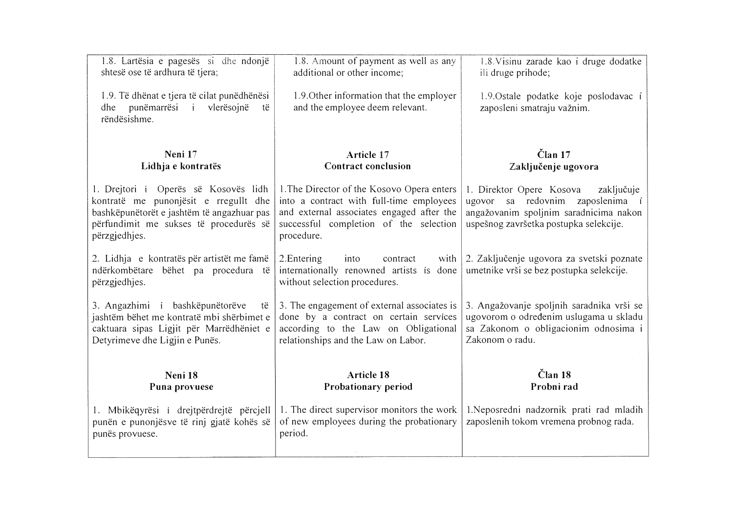| 1.8. Lartësia e pagesës si dhe ndonjë<br>shtesë ose të ardhura të tjera;                                                                                                               | 1.8. Amount of payment as well as any<br>additional or other income;                                                                                                                        | 1.8. Visinu zarade kao i druge dodatke<br>ili druge prihode;                                                                                                   |
|----------------------------------------------------------------------------------------------------------------------------------------------------------------------------------------|---------------------------------------------------------------------------------------------------------------------------------------------------------------------------------------------|----------------------------------------------------------------------------------------------------------------------------------------------------------------|
| 1.9. Të dhënat e tjera të cilat punëdhënësi<br>dhe punëmarrësi i<br>vlerësojnë<br>të<br>rëndësishme.                                                                                   | 1.9. Other information that the employer<br>and the employee deem relevant.                                                                                                                 | 1.9. Ostale podatke koje poslodavac i<br>zaposleni smatraju važnim.                                                                                            |
| Neni 17                                                                                                                                                                                | Article 17                                                                                                                                                                                  | Član 17                                                                                                                                                        |
| Lidhja e kontratës                                                                                                                                                                     | <b>Contract conclusion</b>                                                                                                                                                                  | Zaključenje ugovora                                                                                                                                            |
| 1. Drejtori i Operës së Kosovës lidh<br>kontratë me punonjësit e rregullt dhe<br>bashkëpunëtorët e jashtëm të angazhuar pas<br>përfundimit me sukses të procedurës së<br>përzgjedhjes. | 1. The Director of the Kosovo Opera enters<br>into a contract with full-time employees<br>and external associates engaged after the<br>successful completion of the selection<br>procedure. | 1. Direktor Opere Kosova<br>zaključuje<br>ugovor sa redovnim zaposlenima i<br>angažovanim spoljnim saradnicima nakon<br>uspešnog završetka postupka selekcije. |
| 2. Lidhja e kontratës për artistët me famë<br>ndërkombëtare bëhet pa procedura të<br>përzgjedhjes.                                                                                     | 2. Entering<br>into<br>contract<br>with<br>internationally renowned artists is done<br>without selection procedures.                                                                        | 2. Zaključenje ugovora za svetski poznate<br>umetnike vrši se bez postupka selekcije.                                                                          |
| 3. Angazhimi i bashkëpunëtorëve<br>të<br>jashtëm bëhet me kontratë mbi shërbimet e<br>caktuara sipas Ligjit për Marrëdhëniet e<br>Detyrimeve dhe Ligjin e Punës.                       | 3. The engagement of external associates is<br>done by a contract on certain services<br>according to the Law on Obligational<br>relationships and the Law on Labor.                        | 3. Angažovanje spoljnih saradnika vrši se<br>ugovorom o određenim uslugama u skladu<br>sa Zakonom o obligacionim odnosima i<br>Zakonom o radu.                 |
| Neni 18                                                                                                                                                                                | <b>Article 18</b>                                                                                                                                                                           | Član 18<br>Probni rad                                                                                                                                          |
| Puna provuese                                                                                                                                                                          | Probationary period                                                                                                                                                                         |                                                                                                                                                                |
| 1. Mbikëqyrësi i drejtpërdrejtë përcjell<br>punën e punonjësve të rinj gjatë kohës së<br>punës provuese.                                                                               | 1. The direct supervisor monitors the work<br>of new employees during the probationary<br>period.                                                                                           | 1. Neposredni nadzornik prati rad mladih<br>zaposlenih tokom vremena probnog rada.                                                                             |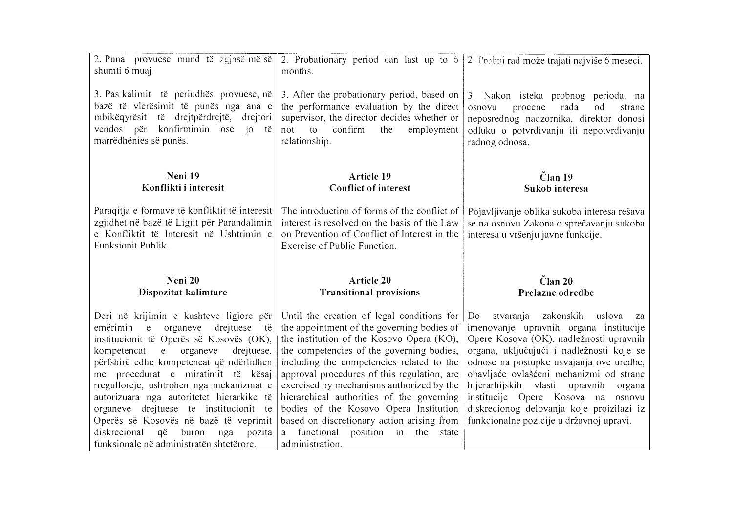| 2. Puna provuese mund të zgjasë më së<br>shumti 6 muaj.                                                                                                                                              | 2. Probationary period can last up to 6<br>months.                                                                                                                                                  | 2. Probni rad može trajati najviše 6 meseci.                                                                                                                                              |
|------------------------------------------------------------------------------------------------------------------------------------------------------------------------------------------------------|-----------------------------------------------------------------------------------------------------------------------------------------------------------------------------------------------------|-------------------------------------------------------------------------------------------------------------------------------------------------------------------------------------------|
| 3. Pas kalimit të periudhës provuese, në<br>bazë të vlerësimit të punës nga ana e<br>mbikëqyrësit të drejtpërdrejtë,<br>drejtori<br>vendos për<br>konfirmimin ose<br>jo të<br>marrëdhënies së punës. | 3. After the probationary period, based on<br>the performance evaluation by the direct<br>supervisor, the director decides whether or<br>confirm<br>employment<br>not<br>the<br>to<br>relationship. | 3. Nakon isteka probnog perioda, na<br>rada<br>osnovu<br>procene<br>od<br>strane<br>neposrednog nadzornika, direktor donosi<br>odluku o potvrđivanju ili nepotvrđivanju<br>radnog odnosa. |
| Neni 19<br>Konflikti i interesit                                                                                                                                                                     | Article 19<br><b>Conflict of interest</b>                                                                                                                                                           | Član 19<br>Sukob interesa                                                                                                                                                                 |
| Paraqitja e formave të konfliktit të interesit<br>zgjidhet në bazë të Ligjit për Parandalimin<br>e Konfliktit të Interesit në Ushtrimin e<br>Funksionit Publik.                                      | The introduction of forms of the conflict of<br>interest is resolved on the basis of the Law<br>on Prevention of Conflict of Interest in the<br>Exercise of Public Function.                        | Pojavljivanje oblika sukoba interesa rešava<br>se na osnovu Zakona o sprečavanju sukoba<br>interesa u vršenju javne funkcije.                                                             |
| Neni 20<br>Dispozitat kalimtare                                                                                                                                                                      | <b>Article 20</b><br><b>Transitional provisions</b>                                                                                                                                                 | Član 20<br>Prelazne odredbe                                                                                                                                                               |
| Deri në krijimin e kushteve ligjore për                                                                                                                                                              |                                                                                                                                                                                                     |                                                                                                                                                                                           |